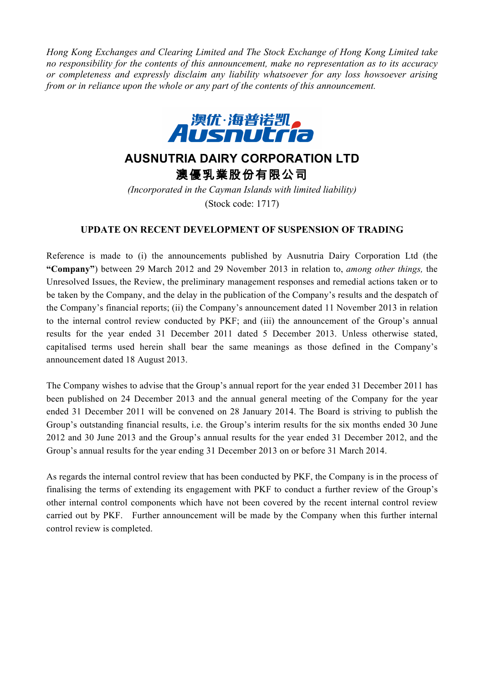*Hong Kong Exchanges and Clearing Limited and The Stock Exchange of Hong Kong Limited take no responsibility for the contents of this announcement, make no representation as to its accuracy or completeness and expressly disclaim any liability whatsoever for any loss howsoever arising from or in reliance upon the whole or any part of the contents of this announcement.*



## **AUSNUTRIA DAIRY CORPORATION LTD** 澳優乳業股份有限公司

*(Incorporated in the Cayman Islands with limited liability)* (Stock code: 1717)

## **UPDATE ON RECENT DEVELOPMENT OF SUSPENSION OF TRADING**

Reference is made to (i) the announcements published by Ausnutria Dairy Corporation Ltd (the **"Company"**) between 29 March 2012 and 29 November 2013 in relation to, *among other things,* the Unresolved Issues, the Review, the preliminary management responses and remedial actions taken or to be taken by the Company, and the delay in the publication of the Company's results and the despatch of the Company's financial reports; (ii) the Company's announcement dated 11 November 2013 in relation to the internal control review conducted by PKF; and (iii) the announcement of the Group's annual results for the year ended 31 December 2011 dated 5 December 2013. Unless otherwise stated, capitalised terms used herein shall bear the same meanings as those defined in the Company's announcement dated 18 August 2013.

The Company wishes to advise that the Group's annual report for the year ended 31 December 2011 has been published on 24 December 2013 and the annual general meeting of the Company for the year ended 31 December 2011 will be convened on 28 January 2014. The Board is striving to publish the Group's outstanding financial results, i.e. the Group's interim results for the six months ended 30 June 2012 and 30 June 2013 and the Group's annual results for the year ended 31 December 2012, and the Group's annual results for the year ending 31 December 2013 on or before 31 March 2014.

As regards the internal control review that has been conducted by PKF, the Company is in the process of finalising the terms of extending its engagement with PKF to conduct a further review of the Group's other internal control components which have not been covered by the recent internal control review carried out by PKF. Further announcement will be made by the Company when this further internal control review is completed.